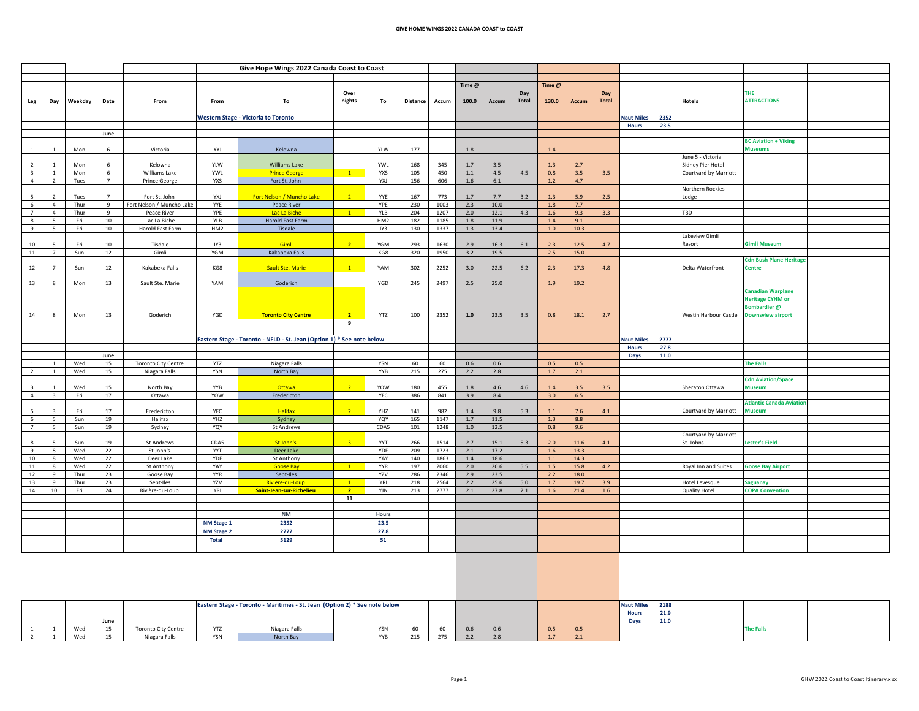## **GIVE HOME WINGS 2022 CANADA COAST to COAST**

|                         |                         |              |                |                                            |              | Give Hope Wings 2022 Canada Coast to Coast                            |                |                 |                 |             |            |             |                     |            |            |                     |                  |      |                                        |                                                                    |  |
|-------------------------|-------------------------|--------------|----------------|--------------------------------------------|--------------|-----------------------------------------------------------------------|----------------|-----------------|-----------------|-------------|------------|-------------|---------------------|------------|------------|---------------------|------------------|------|----------------------------------------|--------------------------------------------------------------------|--|
|                         |                         |              |                |                                            |              |                                                                       |                |                 |                 |             |            |             |                     |            |            |                     |                  |      |                                        |                                                                    |  |
|                         |                         |              |                |                                            |              |                                                                       |                |                 |                 |             | Time @     |             |                     | Time @     |            |                     |                  |      |                                        |                                                                    |  |
| Leg                     | Day                     | Weekday      | Date           | From                                       | From         | To                                                                    | Over<br>nights | To              | <b>Distance</b> | Accum       | 100.0      | Accum       | Day<br><b>Total</b> | 130.0      | Accum      | Day<br><b>Total</b> |                  |      | Hotels                                 | <b>THE</b><br><b>ATTRACTIONS</b>                                   |  |
|                         |                         |              |                |                                            |              |                                                                       |                |                 |                 |             |            |             |                     |            |            |                     |                  |      |                                        |                                                                    |  |
|                         |                         |              |                |                                            |              | <b>Western Stage - Victoria to Toronto</b>                            |                |                 |                 |             |            |             |                     |            |            |                     | <b>Naut Mile</b> | 2352 |                                        |                                                                    |  |
|                         |                         |              |                |                                            |              |                                                                       |                |                 |                 |             |            |             |                     |            |            |                     | Hours            | 23.5 |                                        |                                                                    |  |
|                         |                         |              | June           |                                            |              |                                                                       |                |                 |                 |             |            |             |                     |            |            |                     |                  |      |                                        | <b>BC Aviation + Viking</b>                                        |  |
| $\mathbf{1}$            |                         | Mon          | 6              | Victoria                                   | YYJ          | Kelowna                                                               |                | YLW             | 177             |             | $1.8\,$    |             |                     | 1.4        |            |                     |                  |      |                                        | <b>Museums</b>                                                     |  |
| $\overline{2}$          |                         | Mon          | -6             | Kelowna                                    | YLW          | <b>Williams Lake</b>                                                  |                | YWL             | 168             | 345         | 1.7        | 3.5         |                     | 1.3        | 2.7        |                     |                  |      | June 5 - Victoria<br>Sidney Pier Hotel |                                                                    |  |
| $\overline{\mathbf{3}}$ | 1                       | Mon          | 6              | Williams Lake                              | YWL          | <b>Prince George</b>                                                  | $\sqrt{1}$     | <b>YXS</b>      | 105             | 450         | $1.1\,$    | 4.5         | 4.5                 | 0.8        | 3.5        | 3.5                 |                  |      | Courtyard by Marriott                  |                                                                    |  |
| $\overline{4}$          | $\overline{2}$          | Tues         | $\overline{7}$ | Prince George                              | YXS          | Fort St. John                                                         |                | YXJ             | 156             | 606         | $1.6\,$    | $6.1\,$     |                     | $1.2$      | 4.7        |                     |                  |      |                                        |                                                                    |  |
| 5                       |                         |              | $\overline{7}$ |                                            |              | Fort Nelson / Muncho Lake                                             | $\overline{2}$ |                 |                 |             |            |             |                     |            |            |                     |                  |      | Northern Rockies                       |                                                                    |  |
| 6                       | $\overline{4}$          | Tues<br>Thur | 9              | Fort St. John<br>Fort Nelson / Muncho Lake | YXJ<br>YYE   | Peace River                                                           |                | YYE<br>YPE      | 167<br>230      | 773<br>1003 | 1.7<br>2.3 | 7.7<br>10.0 | 3.2                 | 1.3<br>1.8 | 5.9<br>7.7 | 2.5                 |                  |      | Lodge                                  |                                                                    |  |
| $7\overline{ }$         | $\overline{4}$          | Thur         | 9              | Peace River                                | YPE          | Lac La Biche                                                          | $\sqrt{1}$     | YLB             | 204             | 1207        | $2.0$      | 12.1        | 4.3                 | 1.6        | 9.3        | 3.3                 |                  |      | TBD                                    |                                                                    |  |
| 8                       | 5                       | Fri          | 10             | Lac La Biche                               | YLB          | Harold Fast Farm                                                      |                | HM <sub>2</sub> | 182             | 1185        | 1.8        | 11.9        |                     | 1.4        | 9.1        |                     |                  |      |                                        |                                                                    |  |
| 9                       | 5                       | Fri          | 10             | Harold Fast Farm                           | HM2          | <b>Tisdale</b>                                                        |                | JY3             | 130             | 1337        | 1.3        | 13.4        |                     | 1.0        | 10.3       |                     |                  |      |                                        |                                                                    |  |
|                         |                         |              |                |                                            |              |                                                                       |                |                 |                 |             |            |             |                     |            |            |                     |                  |      | Lakeview Gimli                         |                                                                    |  |
| 10                      |                         | Fri          | 10             | Tisdale                                    | JY3          | Gimli                                                                 | 2 <sup>7</sup> | YGM             | 293             | 1630        | 2.9        | 16.3        | $6.1\,$             | 2.3        | 12.5       | 4.7                 |                  |      | Resort                                 | <b>Gimli Museum</b>                                                |  |
| 11                      | $\overline{7}$          | Sun          | 12             | Gimli                                      | <b>YGM</b>   | Kakabeka Falls                                                        |                | KG8             | 320             | 1950        | 3.2        | 19.5        |                     | 2.5        | 15.0       |                     |                  |      |                                        |                                                                    |  |
| 12                      | $\overline{7}$          | Sun          | 12             | Kakabeka Falls                             | KG8          | <b>Sault Ste. Marie</b>                                               | $\mathbf{1}$   | YAM             | 302             | 2252        | 3.0        | 22.5        | 6.2                 | 2.3        | 17.3       | 4.8                 |                  |      | Delta Waterfront                       | <b>Cdn Bush Plane Heritage</b><br><b>Centre</b>                    |  |
| 13                      | 8                       | Mon          | 13             | Sault Ste. Marie                           | YAM          | Goderich                                                              |                | YGD             | 245             | 2497        | 2.5        | 25.0        |                     | 1.9        | 19.2       |                     |                  |      |                                        |                                                                    |  |
|                         |                         |              |                |                                            |              |                                                                       |                |                 |                 |             |            |             |                     |            |            |                     |                  |      |                                        | <b>Canadian Warplane</b><br><b>Heritage CYHM or</b><br>Bombardier@ |  |
| 14                      | 8                       | Mon          | 13             | Goderich                                   | YGD          | <b>Toronto City Centre</b>                                            | $\overline{2}$ | YTZ             | 100             | 2352        | 1.0        | 23.5        | 3.5                 | 0.8        | 18.1       | 2.7                 |                  |      | Westin Harbour Castle                  | <b>Downsview airport</b>                                           |  |
|                         |                         |              |                |                                            |              |                                                                       | 9              |                 |                 |             |            |             |                     |            |            |                     |                  |      |                                        |                                                                    |  |
|                         |                         |              |                |                                            |              |                                                                       |                |                 |                 |             |            |             |                     |            |            |                     |                  |      |                                        |                                                                    |  |
|                         |                         |              |                |                                            |              | Eastern Stage - Toronto - NFLD - St. Jean (Option 1) * See note below |                |                 |                 |             |            |             |                     |            |            |                     | <b>Naut Mile</b> | 2777 |                                        |                                                                    |  |
|                         |                         |              |                |                                            |              |                                                                       |                |                 |                 |             |            |             |                     |            |            |                     | <b>Hours</b>     | 27.8 |                                        |                                                                    |  |
|                         |                         |              | June           |                                            |              |                                                                       |                |                 |                 |             |            |             |                     |            |            |                     | Days             | 11.0 |                                        |                                                                    |  |
|                         |                         | Wed          | 15             | <b>Toronto City Centre</b>                 | YTZ          | Niagara Falls                                                         |                | <b>YSN</b>      | 60              | 60          | 0.6        | 0.6         |                     | 0.5        | 0.5        |                     |                  |      |                                        | <b>The Falls</b>                                                   |  |
| $\overline{2}$          | $\overline{1}$          | Wed          | 15             | Niagara Falls                              | YSN          | North Bay                                                             |                | YYB             | 215             | 275         | 2.2        | 2.8         |                     | 1.7        | 2.1        |                     |                  |      |                                        |                                                                    |  |
| $\overline{3}$          |                         | Wed          | 15             | North Bay                                  | YYB          | Ottawa                                                                | $\overline{2}$ | YOW             | 180             | 455         | 1.8        | 4.6         | 4.6                 | 1.4        | 3.5        | $3.5\,$             |                  |      | Sheraton Ottawa                        | <b>Cdn Aviation/Space</b><br><b>Museum</b>                         |  |
| $\overline{4}$          | $\overline{3}$          | Fri          | 17             | Ottawa                                     | YOW          | Fredericton                                                           |                | YFC             | 386             | 841         | 3.9        | 8.4         |                     | 3.0        | 6.5        |                     |                  |      |                                        |                                                                    |  |
| 5                       | $\overline{\mathbf{z}}$ | Fri          | 17             | Fredericton                                | YFC          | <b>Halifax</b>                                                        | $\overline{2}$ | YHZ             | 141             | 982         | 1.4        | 9.8         | 5.3                 | 1.1        | 7.6        | 4.1                 |                  |      | Courtyard by Marriott                  | <b>Atlantic Canada Aviation</b><br><b>Auseum</b>                   |  |
| 6                       | 5                       | Sun          | 19             | Halifax                                    | YHZ          | Sydney                                                                |                | YQY             | 165             | 1147        | 1.7        | 11.5        |                     | 1.3        | 8.8        |                     |                  |      |                                        |                                                                    |  |
| $\overline{7}$          | 5                       | Sun          | 19             | Sydney                                     | YQY          | <b>St Andrews</b>                                                     |                | CDA5            | 101             | 1248        | 1.0        | 12.5        |                     | 0.8        | 9.6        |                     |                  |      |                                        |                                                                    |  |
| 8                       | 5                       | Sun          | 19             | St Andrews                                 | CDA5         | St John's                                                             |                | YYT             | 266             | 1514        | 2.7        | 15.1        | 5.3                 | 2.0        | 11.6       | 4.1                 |                  |      | Courtyard by Marriott<br>St. Johns     | Lester's Field                                                     |  |
| 9                       | 8                       | Wed          | 22             | St John's                                  | YYT          | Deer Lake                                                             |                | YDF             | 209             | 1723        | 2.1        | 17.2        |                     | 1.6        | 13.3       |                     |                  |      |                                        |                                                                    |  |
| 10                      | 8                       | Wed          | 22             | Deer Lake                                  | YDF          | St Anthony                                                            |                | YAY             | 140             | 1863        | 1.4        | 18.6        |                     | 1.1        | 14.3       |                     |                  |      |                                        |                                                                    |  |
| 11                      | 8                       | Wed          | 22             | St Anthony                                 | YAY          | <b>Goose Bay</b>                                                      | $\sqrt{1}$     | <b>YYR</b>      | 197             | 2060        | 2.0        | 20.6        | 5.5                 | 1.5        | 15.8       | 4.2                 |                  |      | Royal Inn and Suites                   | <b>Goose Bay Airport</b>                                           |  |
| 12                      | 9                       | Thur         | 23             | Goose Bay                                  | <b>YYR</b>   | Sept-Iles                                                             |                | YZV             | 286             | 2346        | 2.9        | 23.5        |                     | 2.2        | 18.0       |                     |                  |      |                                        |                                                                    |  |
| 13                      | -9                      | Thur         | 23             | Sept-Iles                                  | YZV          | Rivière-du-Loup                                                       | $\overline{1}$ | YRI             | 218             | 2564        | 2.2        | 25.6        | 5.0                 | 1.7        | 19.7       | 3.9                 |                  |      | Hotel Levesque                         | <b>Saguanay</b>                                                    |  |
| 14                      | 10                      | Fri          | 24             | Rivière-du-Loup                            | YRI          | Saint-Jean-sur-Richelieu                                              | 2 <sup>7</sup> | YJN             | 213             | 2777        | 2.1        | 27.8        | 2.1                 | 1.6        | 21.4       | 1.6                 |                  |      | Quality Hotel                          | <b>COPA Convention</b>                                             |  |
|                         |                         |              |                |                                            |              |                                                                       | 11             |                 |                 |             |            |             |                     |            |            |                     |                  |      |                                        |                                                                    |  |
|                         |                         |              |                |                                            |              |                                                                       |                |                 |                 |             |            |             |                     |            |            |                     |                  |      |                                        |                                                                    |  |
|                         |                         |              |                |                                            |              | <b>NM</b>                                                             |                | Hours           |                 |             |            |             |                     |            |            |                     |                  |      |                                        |                                                                    |  |
|                         |                         |              |                |                                            | NM Stage 1   | 2352                                                                  |                | 23.5            |                 |             |            |             |                     |            |            |                     |                  |      |                                        |                                                                    |  |
|                         |                         |              |                |                                            | NM Stage 2   | 2777                                                                  |                | 27.8            |                 |             |            |             |                     |            |            |                     |                  |      |                                        |                                                                    |  |
|                         |                         |              |                |                                            | <b>Total</b> | 5129                                                                  |                | 51              |                 |             |            |             |                     |            |            |                     |                  |      |                                        |                                                                    |  |
|                         |                         |              |                |                                            |              |                                                                       |                |                 |                 |             |            |             |                     |            |            |                     |                  |      |                                        |                                                                    |  |

|  |     |                | Eastern Stage - Toronto - Maritimes - St. Jean (Option 2) * See note below |            |               |  |            |     |     |                      |                       |     |             | <b>Naut Miles</b> | 2188 |     |  |
|--|-----|----------------|----------------------------------------------------------------------------|------------|---------------|--|------------|-----|-----|----------------------|-----------------------|-----|-------------|-------------------|------|-----|--|
|  |     |                |                                                                            |            |               |  |            |     |     |                      |                       |     |             | <b>Hours</b>      | 21.9 |     |  |
|  |     | June           |                                                                            |            |               |  |            |     |     |                      |                       |     |             | Days              | 11.0 |     |  |
|  | Wed | $\sim$<br>رد   | <b>Toronto City Centre</b>                                                 | <b>YTZ</b> | Niagara Falls |  |            |     |     | 0.6                  | o.c                   | 0.5 | <b>U.S.</b> |                   |      | The |  |
|  | Wed | $\overline{a}$ | Niagara Falls                                                              | YSN        | North Bay     |  | <b>YYB</b> | 215 | 2/5 | $\mathcal{L}$<br>2.2 | $\mathcal{L} \cdot C$ | 1.7 | $\sim$      |                   |      |     |  |